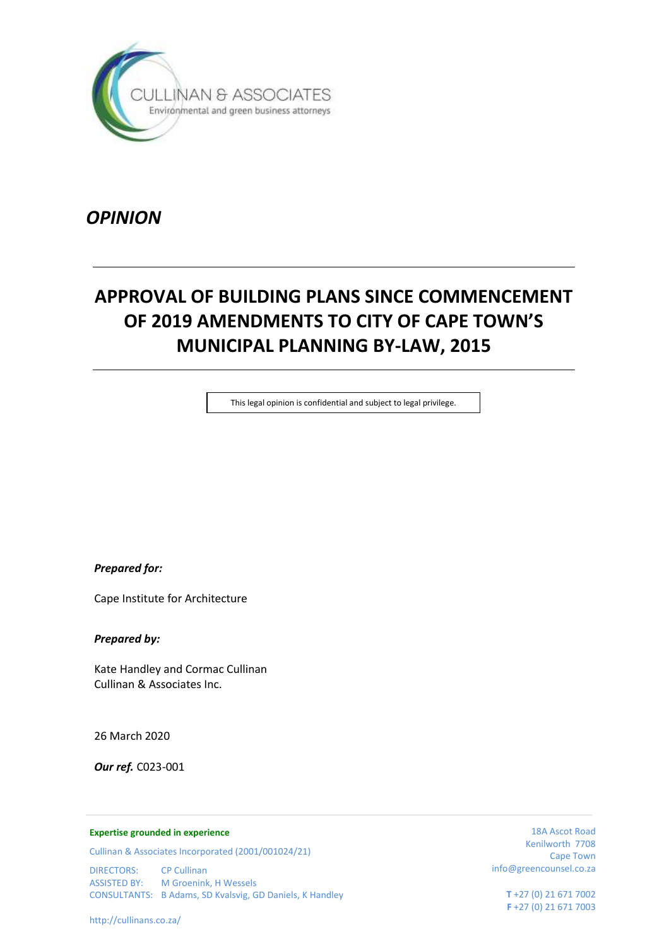

*OPINION*

# **APPROVAL OF BUILDING PLANS SINCE COMMENCEMENT OF 2019 AMENDMENTS TO CITY OF CAPE TOWN'S MUNICIPAL PLANNING BY-LAW, 2015**

This legal opinion is confidential and subject to legal privilege.

*Prepared for:*

Cape Institute for Architecture

*Prepared by:*

Kate Handley and Cormac Cullinan Cullinan & Associates Inc.

26 March 2020

*Our ref.* C023-001

#### **Expertise grounded in experience**

Cullinan & Associates Incorporated (2001/001024/21)

DIRECTORS: CP Cullinan ASSISTED BY: M Groenink, H Wessels CONSULTANTS: B Adams, SD Kvalsvig, GD Daniels, K Handley

18A Ascot Road Kenilworth 7708 Cape Town info@greencounsel.co.za

> **T** +27 (0) 21 671 7002 **F** +27 (0) 21 671 7003

http://cullinans.co.za/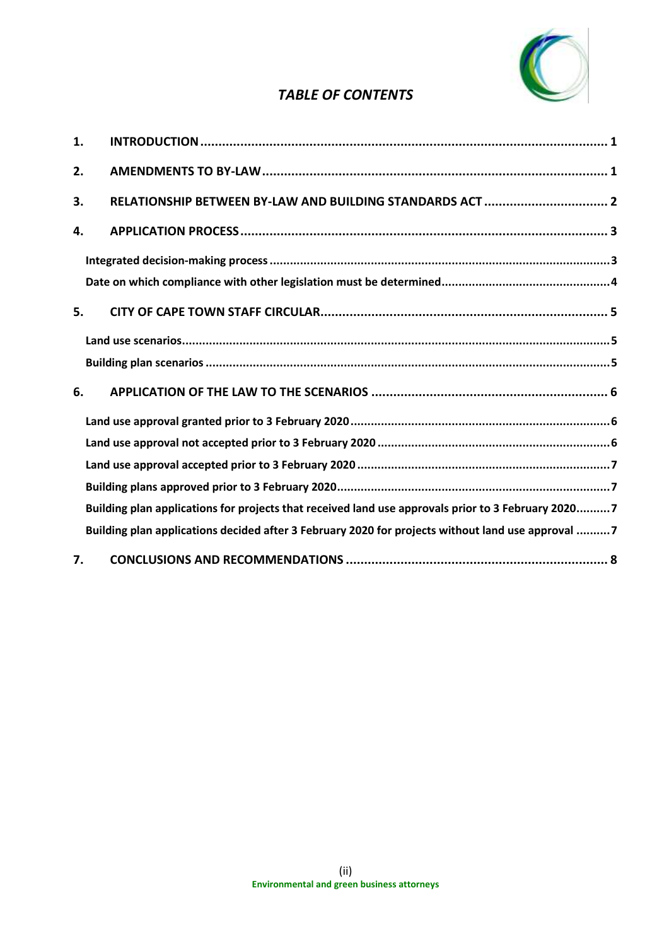

# *TABLE OF CONTENTS*

| 1. |                                                                                                    |
|----|----------------------------------------------------------------------------------------------------|
| 2. |                                                                                                    |
| 3. | RELATIONSHIP BETWEEN BY-LAW AND BUILDING STANDARDS ACT  2                                          |
| 4. |                                                                                                    |
|    |                                                                                                    |
|    |                                                                                                    |
| 5. |                                                                                                    |
|    |                                                                                                    |
|    |                                                                                                    |
| 6. |                                                                                                    |
|    |                                                                                                    |
|    |                                                                                                    |
|    |                                                                                                    |
|    |                                                                                                    |
|    | Building plan applications for projects that received land use approvals prior to 3 February 20207 |
|    | Building plan applications decided after 3 February 2020 for projects without land use approval 7  |
| 7. |                                                                                                    |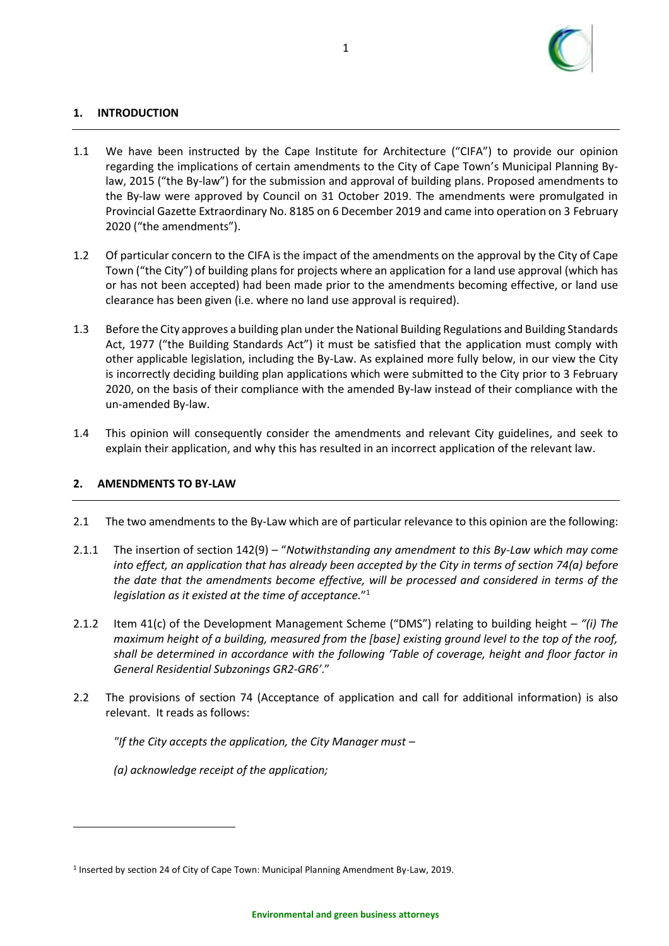

# <span id="page-2-0"></span>**1. INTRODUCTION**

- 1.1 We have been instructed by the Cape Institute for Architecture ("CIFA") to provide our opinion regarding the implications of certain amendments to the City of Cape Town's Municipal Planning Bylaw, 2015 ("the By-law") for the submission and approval of building plans. Proposed amendments to the By-law were approved by Council on 31 October 2019. The amendments were promulgated in Provincial Gazette Extraordinary No. 8185 on 6 December 2019 and came into operation on 3 February 2020 ("the amendments").
- 1.2 Of particular concern to the CIFA is the impact of the amendments on the approval by the City of Cape Town ("the City") of building plans for projects where an application for a land use approval (which has or has not been accepted) had been made prior to the amendments becoming effective, or land use clearance has been given (i.e. where no land use approval is required).
- 1.3 Before the City approves a building plan under the National Building Regulations and Building Standards Act, 1977 ("the Building Standards Act") it must be satisfied that the application must comply with other applicable legislation, including the By-Law. As explained more fully below, in our view the City is incorrectly deciding building plan applications which were submitted to the City prior to 3 February 2020, on the basis of their compliance with the amended By-law instead of their compliance with the un-amended By-law.
- 1.4 This opinion will consequently consider the amendments and relevant City guidelines, and seek to explain their application, and why this has resulted in an incorrect application of the relevant law.

#### <span id="page-2-1"></span>**2. AMENDMENTS TO BY-LAW**

- 2.1 The two amendments to the By-Law which are of particular relevance to this opinion are the following:
- 2.1.1 The insertion of section 142(9) "*Notwithstanding any amendment to this By-Law which may come into effect, an application that has already been accepted by the City in terms of section 74(a) before the date that the amendments become effective, will be processed and considered in terms of the legislation as it existed at the time of acceptance.*" 1
- 2.1.2 Item 41(c) of the Development Management Scheme ("DMS") relating to building height *"(i) The maximum height of a building, measured from the [base] existing ground level to the top of the roof, shall be determined in accordance with the following 'Table of coverage, height and floor factor in General Residential Subzonings GR2-GR6'*."
- 2.2 The provisions of section 74 (Acceptance of application and call for additional information) is also relevant. It reads as follows:

*"If the City accepts the application, the City Manager must –*

*(a) acknowledge receipt of the application;*

<sup>&</sup>lt;sup>1</sup> Inserted by section 24 of City of Cape Town: Municipal Planning Amendment By-Law, 2019.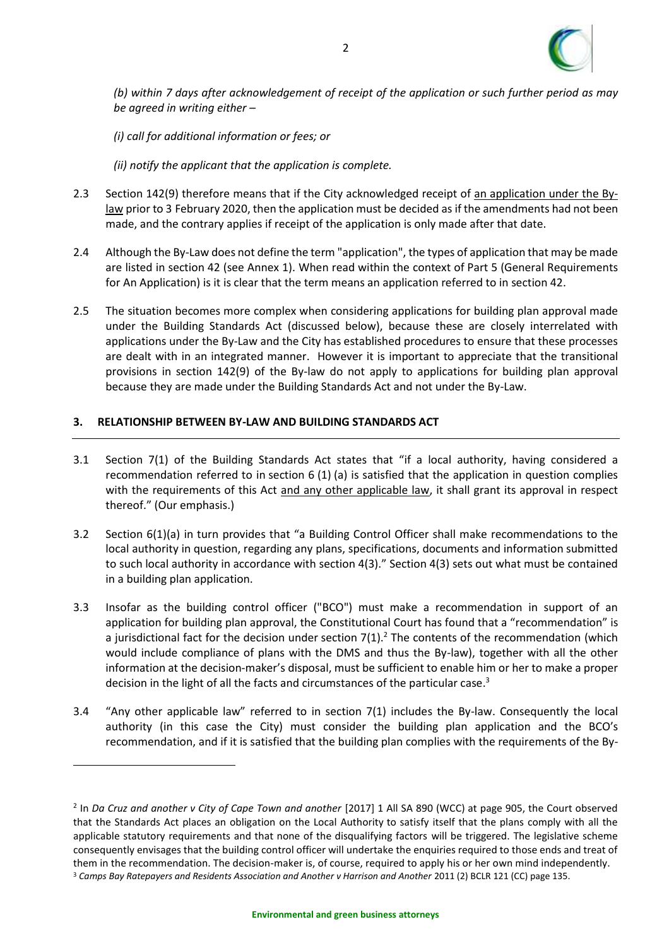

*(b) within 7 days after acknowledgement of receipt of the application or such further period as may be agreed in writing either –*

*(i) call for additional information or fees; or*

*(ii) notify the applicant that the application is complete.*

- 2.3 Section 142(9) therefore means that if the City acknowledged receipt of an application under the Bylaw prior to 3 February 2020, then the application must be decided as if the amendments had not been made, and the contrary applies if receipt of the application is only made after that date.
- 2.4 Although the By-Law does not define the term "application", the types of application that may be made are listed in section 42 (see Annex 1). When read within the context of Part 5 (General Requirements for An Application) is it is clear that the term means an application referred to in section 42.
- 2.5 The situation becomes more complex when considering applications for building plan approval made under the Building Standards Act (discussed below), because these are closely interrelated with applications under the By-Law and the City has established procedures to ensure that these processes are dealt with in an integrated manner. However it is important to appreciate that the transitional provisions in section 142(9) of the By-law do not apply to applications for building plan approval because they are made under the Building Standards Act and not under the By-Law.

# <span id="page-3-0"></span>**3. RELATIONSHIP BETWEEN BY-LAW AND BUILDING STANDARDS ACT**

- 3.1 Section 7(1) of the Building Standards Act states that "if a local authority, having considered a recommendation referred to in section 6 (1) (a) is satisfied that the application in question complies with the requirements of this Act and any other applicable law, it shall grant its approval in respect thereof." (Our emphasis.)
- 3.2 Section 6(1)(a) in turn provides that "a Building Control Officer shall make recommendations to the local authority in question, regarding any plans, specifications, documents and information submitted to such local authority in accordance with section 4(3)." Section 4(3) sets out what must be contained in a building plan application.
- 3.3 Insofar as the building control officer ("BCO") must make a recommendation in support of an application for building plan approval, the Constitutional Court has found that a "recommendation" is a jurisdictional fact for the decision under section  $7(1)$ .<sup>2</sup> The contents of the recommendation (which would include compliance of plans with the DMS and thus the By-law), together with all the other information at the decision-maker's disposal, must be sufficient to enable him or her to make a proper decision in the light of all the facts and circumstances of the particular case.<sup>3</sup>
- 3.4 "Any other applicable law" referred to in section 7(1) includes the By-law. Consequently the local authority (in this case the City) must consider the building plan application and the BCO's recommendation, and if it is satisfied that the building plan complies with the requirements of the By-

<sup>2</sup> In *Da Cruz and another v City of Cape Town and another* [2017] 1 All SA 890 (WCC) at page 905, the Court observed that the Standards Act places an obligation on the Local Authority to satisfy itself that the plans comply with all the applicable statutory requirements and that none of the disqualifying factors will be triggered. The legislative scheme consequently envisages that the building control officer will undertake the enquiries required to those ends and treat of them in the recommendation. The decision-maker is, of course, required to apply his or her own mind independently. <sup>3</sup> Camps Bay Ratepayers and Residents Association and Another v Harrison and Another 2011 (2) BCLR 121 (CC) page 135.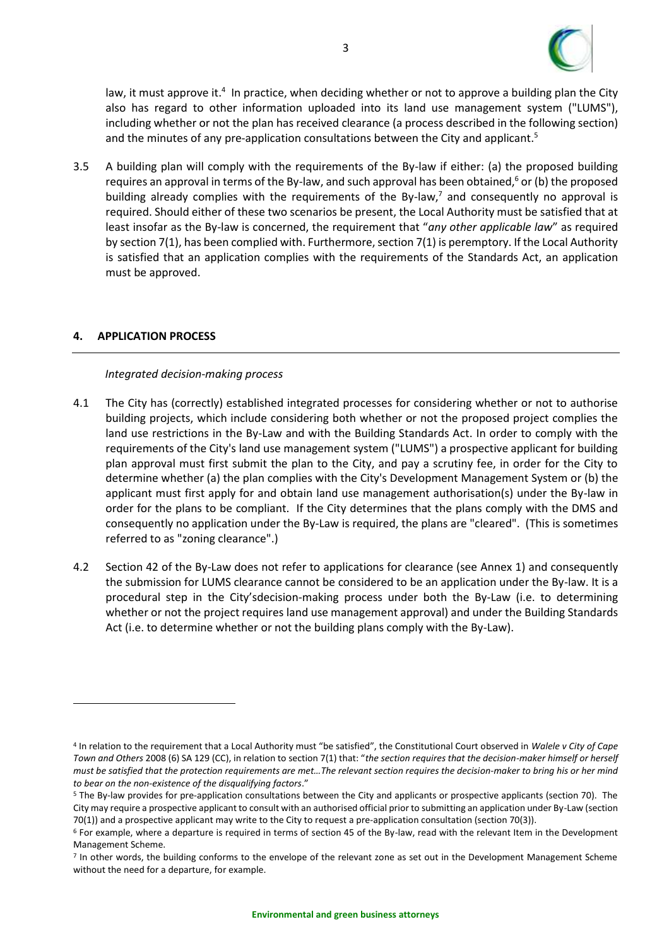

law, it must approve it.<sup>4</sup> In practice, when deciding whether or not to approve a building plan the City also has regard to other information uploaded into its land use management system ("LUMS"), including whether or not the plan has received clearance (a process described in the following section) and the minutes of any pre-application consultations between the City and applicant. 5

3.5 A building plan will comply with the requirements of the By-law if either: (a) the proposed building requires an approval in terms of the By-law, and such approval has been obtained,<sup>6</sup> or (b) the proposed building already complies with the requirements of the By-law, $<sup>7</sup>$  and consequently no approval is</sup> required. Should either of these two scenarios be present, the Local Authority must be satisfied that at least insofar as the By-law is concerned, the requirement that "*any other applicable law*" as required by section 7(1), has been complied with. Furthermore, section 7(1) is peremptory. If the Local Authority is satisfied that an application complies with the requirements of the Standards Act, an application must be approved.

# <span id="page-4-0"></span>**4. APPLICATION PROCESS**

#### *Integrated decision-making process*

- <span id="page-4-1"></span>4.1 The City has (correctly) established integrated processes for considering whether or not to authorise building projects, which include considering both whether or not the proposed project complies the land use restrictions in the By-Law and with the Building Standards Act. In order to comply with the requirements of the City's land use management system ("LUMS") a prospective applicant for building plan approval must first submit the plan to the City, and pay a scrutiny fee, in order for the City to determine whether (a) the plan complies with the City's Development Management System or (b) the applicant must first apply for and obtain land use management authorisation(s) under the By-law in order for the plans to be compliant. If the City determines that the plans comply with the DMS and consequently no application under the By-Law is required, the plans are "cleared". (This is sometimes referred to as "zoning clearance".)
- 4.2 Section 42 of the By-Law does not refer to applications for clearance (see Annex 1) and consequently the submission for LUMS clearance cannot be considered to be an application under the By-law. It is a procedural step in the City'sdecision-making process under both the By-Law (i.e. to determining whether or not the project requires land use management approval) and under the Building Standards Act (i.e. to determine whether or not the building plans comply with the By-Law).

<sup>4</sup> In relation to the requirement that a Local Authority must "be satisfied", the Constitutional Court observed in *Walele v City of Cape Town and Others* 2008 (6) SA 129 (CC), in relation to section 7(1) that: "*the section requires that the decision-maker himself or herself must be satisfied that the protection requirements are met…The relevant section requires the decision-maker to bring his or her mind to bear on the non-existence of the disqualifying factors*."

<sup>&</sup>lt;sup>5</sup> The By-law provides for pre-application consultations between the City and applicants or prospective applicants (section 70). The City may require a prospective applicant to consult with an authorised official prior to submitting an application under By-Law (section 70(1)) and a prospective applicant may write to the City to request a pre-application consultation (section 70(3)).

 $6$  For example, where a departure is required in terms of section 45 of the By-law, read with the relevant Item in the Development Management Scheme.

<sup>7</sup> In other words, the building conforms to the envelope of the relevant zone as set out in the Development Management Scheme without the need for a departure, for example.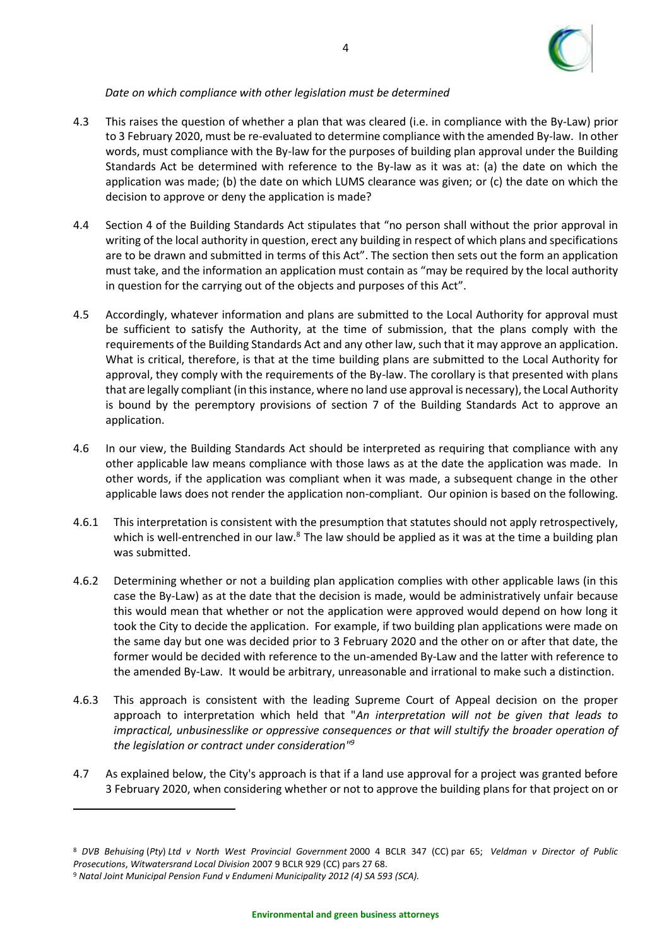

# *Date on which compliance with other legislation must be determined*

- <span id="page-5-0"></span>4.3 This raises the question of whether a plan that was cleared (i.e. in compliance with the By-Law) prior to 3 February 2020, must be re-evaluated to determine compliance with the amended By-law. In other words, must compliance with the By-law for the purposes of building plan approval under the Building Standards Act be determined with reference to the By-law as it was at: (a) the date on which the application was made; (b) the date on which LUMS clearance was given; or (c) the date on which the decision to approve or deny the application is made?
- 4.4 Section 4 of the Building Standards Act stipulates that "no person shall without the prior approval in writing of the local authority in question, erect any building in respect of which plans and specifications are to be drawn and submitted in terms of this Act". The section then sets out the form an application must take, and the information an application must contain as "may be required by the local authority in question for the carrying out of the objects and purposes of this Act".
- 4.5 Accordingly, whatever information and plans are submitted to the Local Authority for approval must be sufficient to satisfy the Authority, at the time of submission, that the plans comply with the requirements of the Building Standards Act and any other law, such that it may approve an application. What is critical, therefore, is that at the time building plans are submitted to the Local Authority for approval, they comply with the requirements of the By-law. The corollary is that presented with plans that are legally compliant (in this instance, where no land use approval is necessary), the Local Authority is bound by the peremptory provisions of section 7 of the Building Standards Act to approve an application.
- 4.6 In our view, the Building Standards Act should be interpreted as requiring that compliance with any other applicable law means compliance with those laws as at the date the application was made. In other words, if the application was compliant when it was made, a subsequent change in the other applicable laws does not render the application non-compliant. Our opinion is based on the following.
- 4.6.1 This interpretation is consistent with the presumption that statutes should not apply retrospectively, which is well-entrenched in our law.<sup>8</sup> The law should be applied as it was at the time a building plan was submitted.
- 4.6.2 Determining whether or not a building plan application complies with other applicable laws (in this case the By-Law) as at the date that the decision is made, would be administratively unfair because this would mean that whether or not the application were approved would depend on how long it took the City to decide the application. For example, if two building plan applications were made on the same day but one was decided prior to 3 February 2020 and the other on or after that date, the former would be decided with reference to the un-amended By-Law and the latter with reference to the amended By-Law. It would be arbitrary, unreasonable and irrational to make such a distinction.
- 4.6.3 This approach is consistent with the leading Supreme Court of Appeal decision on the proper approach to interpretation which held that "*An interpretation will not be given that leads to impractical, unbusinesslike or oppressive consequences or that will stultify the broader operation of the legislation or contract under consideration" 9*
- 4.7 As explained below, the City's approach is that if a land use approval for a project was granted before 3 February 2020, when considering whether or not to approve the building plans for that project on or

4

<sup>8</sup> *DVB Behuising* (*Pty*) *Ltd v North West Provincial Government* 2000 4 BCLR 347 (CC) par 65; *Veldman v Director of Public Prosecutions*, *Witwatersrand Local Division* 2007 9 BCLR 929 (CC) pars 27 68.

<sup>9</sup> *Natal Joint Municipal Pension Fund v Endumeni Municipality 2012 (4) SA 593 (SCA).*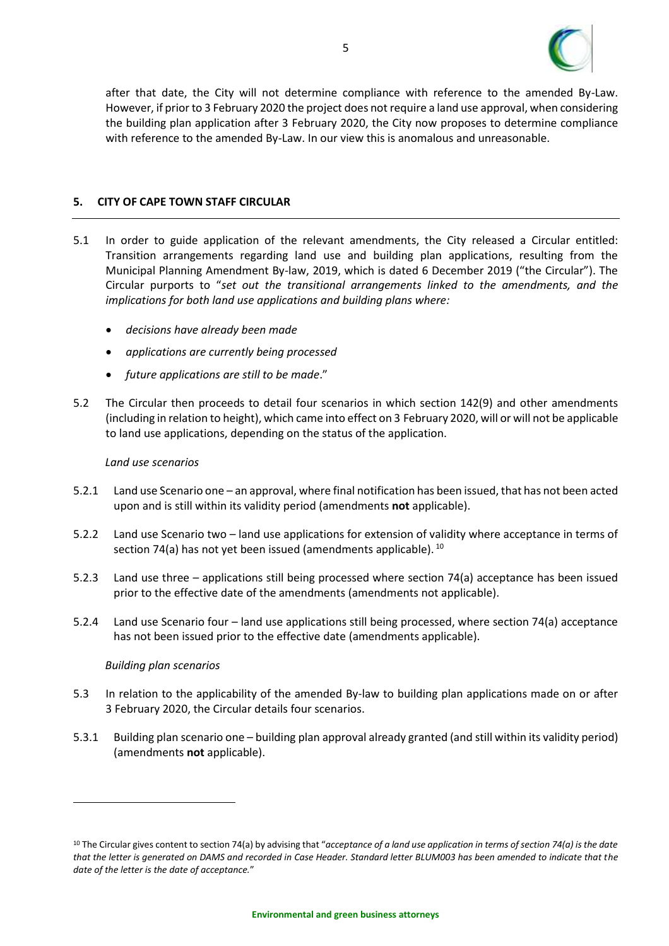

after that date, the City will not determine compliance with reference to the amended By-Law. However, if prior to 3 February 2020 the project does not require a land use approval, when considering the building plan application after 3 February 2020, the City now proposes to determine compliance with reference to the amended By-Law. In our view this is anomalous and unreasonable.

#### <span id="page-6-0"></span>**5. CITY OF CAPE TOWN STAFF CIRCULAR**

- 5.1 In order to guide application of the relevant amendments, the City released a Circular entitled: Transition arrangements regarding land use and building plan applications, resulting from the Municipal Planning Amendment By-law, 2019, which is dated 6 December 2019 ("the Circular"). The Circular purports to "*set out the transitional arrangements linked to the amendments, and the implications for both land use applications and building plans where:*
	- *decisions have already been made*
	- *applications are currently being processed*
	- *future applications are still to be made*."
- 5.2 The Circular then proceeds to detail four scenarios in which section 142(9) and other amendments (including in relation to height), which came into effect on 3 February 2020, will or will not be applicable to land use applications, depending on the status of the application.

#### *Land use scenarios*

- <span id="page-6-1"></span>5.2.1 Land use Scenario one – an approval, where final notification has been issued, that has not been acted upon and is still within its validity period (amendments **not** applicable).
- 5.2.2 Land use Scenario two land use applications for extension of validity where acceptance in terms of section 74(a) has not yet been issued (amendments applicable).  $^{10}$
- 5.2.3 Land use three applications still being processed where section 74(a) acceptance has been issued prior to the effective date of the amendments (amendments not applicable).
- 5.2.4 Land use Scenario four land use applications still being processed, where section 74(a) acceptance has not been issued prior to the effective date (amendments applicable).

#### *Building plan scenarios*

- <span id="page-6-2"></span>5.3 In relation to the applicability of the amended By-law to building plan applications made on or after 3 February 2020, the Circular details four scenarios.
- 5.3.1 Building plan scenario one building plan approval already granted (and still within its validity period) (amendments **not** applicable).

<sup>10</sup> The Circular gives content to section 74(a) by advising that "*acceptance of a land use application in terms of section 74(a) is the date that the letter is generated on DAMS and recorded in Case Header. Standard letter BLUM003 has been amended to indicate that the date of the letter is the date of acceptance.*"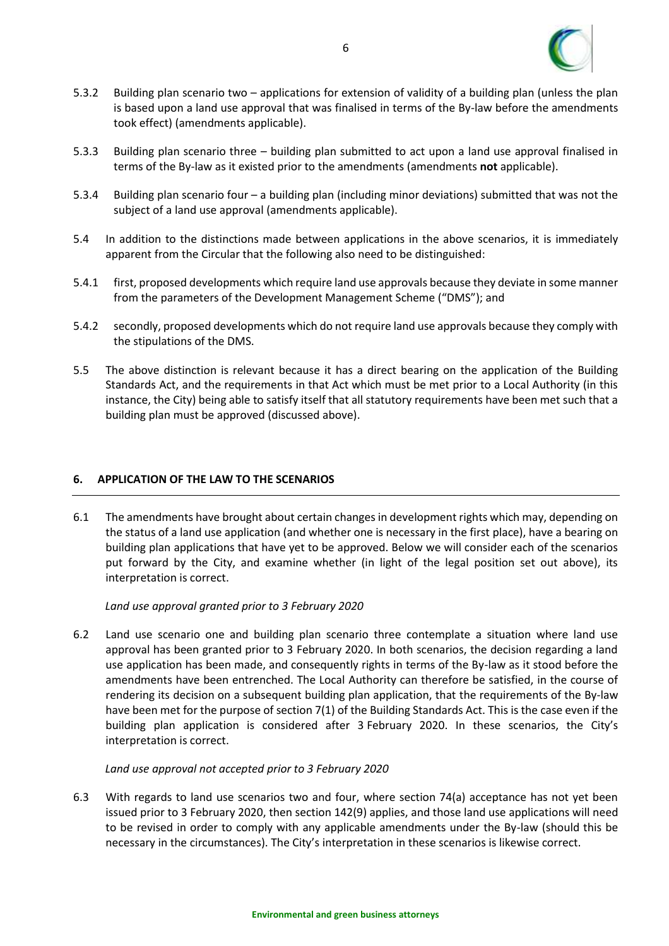

- 5.3.2 Building plan scenario two applications for extension of validity of a building plan (unless the plan is based upon a land use approval that was finalised in terms of the By-law before the amendments took effect) (amendments applicable).
- 5.3.3 Building plan scenario three building plan submitted to act upon a land use approval finalised in terms of the By-law as it existed prior to the amendments (amendments **not** applicable).
- 5.3.4 Building plan scenario four a building plan (including minor deviations) submitted that was not the subject of a land use approval (amendments applicable).
- 5.4 In addition to the distinctions made between applications in the above scenarios, it is immediately apparent from the Circular that the following also need to be distinguished:
- 5.4.1 first, proposed developments which require land use approvals because they deviate in some manner from the parameters of the Development Management Scheme ("DMS"); and
- 5.4.2 secondly, proposed developments which do not require land use approvals because they comply with the stipulations of the DMS.
- 5.5 The above distinction is relevant because it has a direct bearing on the application of the Building Standards Act, and the requirements in that Act which must be met prior to a Local Authority (in this instance, the City) being able to satisfy itself that all statutory requirements have been met such that a building plan must be approved (discussed above).

#### <span id="page-7-0"></span>**6. APPLICATION OF THE LAW TO THE SCENARIOS**

6.1 The amendments have brought about certain changes in development rights which may, depending on the status of a land use application (and whether one is necessary in the first place), have a bearing on building plan applications that have yet to be approved. Below we will consider each of the scenarios put forward by the City, and examine whether (in light of the legal position set out above), its interpretation is correct.

*Land use approval granted prior to 3 February 2020*

<span id="page-7-1"></span>6.2 Land use scenario one and building plan scenario three contemplate a situation where land use approval has been granted prior to 3 February 2020. In both scenarios, the decision regarding a land use application has been made, and consequently rights in terms of the By-law as it stood before the amendments have been entrenched. The Local Authority can therefore be satisfied, in the course of rendering its decision on a subsequent building plan application, that the requirements of the By-law have been met for the purpose of section 7(1) of the Building Standards Act. This is the case even if the building plan application is considered after 3 February 2020. In these scenarios, the City's interpretation is correct.

#### *Land use approval not accepted prior to 3 February 2020*

<span id="page-7-2"></span>6.3 With regards to land use scenarios two and four, where section 74(a) acceptance has not yet been issued prior to 3 February 2020, then section 142(9) applies, and those land use applications will need to be revised in order to comply with any applicable amendments under the By-law (should this be necessary in the circumstances). The City's interpretation in these scenarios is likewise correct.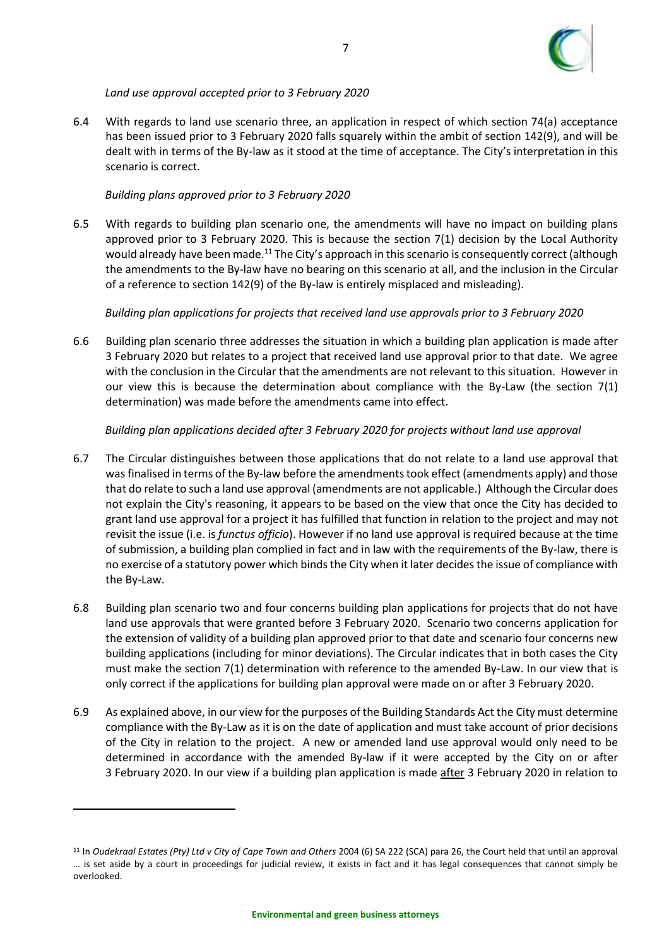

# *Land use approval accepted prior to 3 February 2020*

<span id="page-8-0"></span>6.4 With regards to land use scenario three, an application in respect of which section 74(a) acceptance has been issued prior to 3 February 2020 falls squarely within the ambit of section 142(9), and will be dealt with in terms of the By-law as it stood at the time of acceptance. The City's interpretation in this scenario is correct.

#### *Building plans approved prior to 3 February 2020*

<span id="page-8-1"></span>6.5 With regards to building plan scenario one, the amendments will have no impact on building plans approved prior to 3 February 2020. This is because the section 7(1) decision by the Local Authority would already have been made.<sup>11</sup> The City's approach in this scenario is consequently correct (although the amendments to the By-law have no bearing on this scenario at all, and the inclusion in the Circular of a reference to section 142(9) of the By-law is entirely misplaced and misleading).

# *Building plan applications for projects that received land use approvals prior to 3 February 2020*

<span id="page-8-2"></span>6.6 Building plan scenario three addresses the situation in which a building plan application is made after 3 February 2020 but relates to a project that received land use approval prior to that date. We agree with the conclusion in the Circular that the amendments are not relevant to this situation. However in our view this is because the determination about compliance with the By-Law (the section 7(1) determination) was made before the amendments came into effect.

# *Building plan applications decided after 3 February 2020 for projects without land use approval*

- <span id="page-8-3"></span>6.7 The Circular distinguishes between those applications that do not relate to a land use approval that was finalised in terms of the By-law before the amendments took effect (amendments apply) and those that do relate to such a land use approval (amendments are not applicable.) Although the Circular does not explain the City's reasoning, it appears to be based on the view that once the City has decided to grant land use approval for a project it has fulfilled that function in relation to the project and may not revisit the issue (i.e. is *functus officio*). However if no land use approval is required because at the time of submission, a building plan complied in fact and in law with the requirements of the By-law, there is no exercise of a statutory power which binds the City when it later decides the issue of compliance with the By-Law.
- 6.8 Building plan scenario two and four concerns building plan applications for projects that do not have land use approvals that were granted before 3 February 2020. Scenario two concerns application for the extension of validity of a building plan approved prior to that date and scenario four concerns new building applications (including for minor deviations). The Circular indicates that in both cases the City must make the section 7(1) determination with reference to the amended By-Law. In our view that is only correct if the applications for building plan approval were made on or after 3 February 2020.
- 6.9 As explained above, in our view for the purposes of the Building Standards Act the City must determine compliance with the By-Law as it is on the date of application and must take account of prior decisions of the City in relation to the project. A new or amended land use approval would only need to be determined in accordance with the amended By-law if it were accepted by the City on or after 3 February 2020. In our view if a building plan application is made after 3 February 2020 in relation to

<sup>11</sup> In *Oudekraal Estates (Pty) Ltd v City of Cape Town and Others* 2004 (6) SA 222 (SCA) para 26, the Court held that until an approval … is set aside by a court in proceedings for judicial review, it exists in fact and it has legal consequences that cannot simply be overlooked.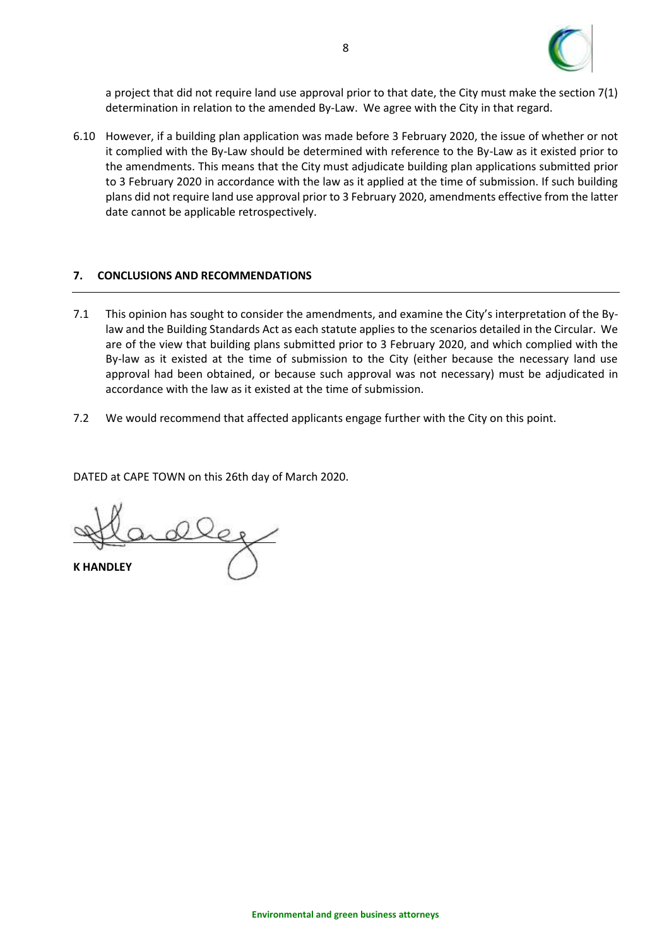

a project that did not require land use approval prior to that date, the City must make the section 7(1) determination in relation to the amended By-Law. We agree with the City in that regard.

6.10 However, if a building plan application was made before 3 February 2020, the issue of whether or not it complied with the By-Law should be determined with reference to the By-Law as it existed prior to the amendments. This means that the City must adjudicate building plan applications submitted prior to 3 February 2020 in accordance with the law as it applied at the time of submission. If such building plans did not require land use approval prior to 3 February 2020, amendments effective from the latter date cannot be applicable retrospectively.

#### <span id="page-9-0"></span>**7. CONCLUSIONS AND RECOMMENDATIONS**

- 7.1 This opinion has sought to consider the amendments, and examine the City's interpretation of the Bylaw and the Building Standards Act as each statute applies to the scenarios detailed in the Circular. We are of the view that building plans submitted prior to 3 February 2020, and which complied with the By-law as it existed at the time of submission to the City (either because the necessary land use approval had been obtained, or because such approval was not necessary) must be adjudicated in accordance with the law as it existed at the time of submission.
- 7.2 We would recommend that affected applicants engage further with the City on this point.

DATED at CAPE TOWN on this 26th day of March 2020.